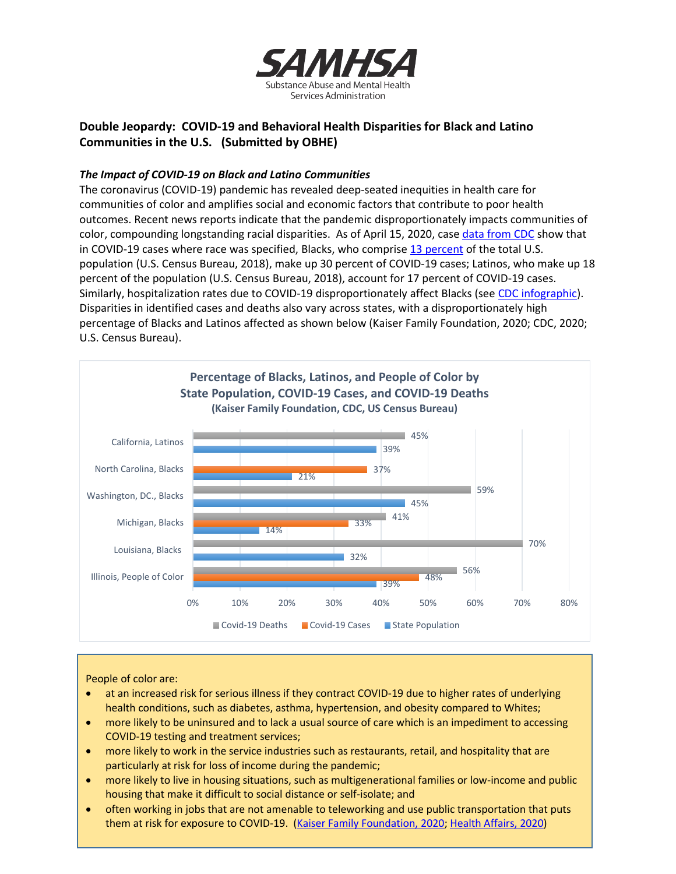

# **Double Jeopardy: COVID-19 and Behavioral Health Disparities for Black and Latino Communities in the U.S. (Submitted by OBHE)**

## *The Impact of COVID-19 on Black and Latino Communities*

The coronavirus (COVID-19) pandemic has revealed deep-seated inequities in health care for communities of color and amplifies social and economic factors that contribute to poor health outcomes. Recent news reports indicate that the pandemic disproportionately impacts communities of color, compounding longstanding racial disparities. As of April 15, 2020, case [data from CDC](https://www.cdc.gov/coronavirus/2019-ncov/cases-updates/cases-in-us.html#demographic-characteristics) show that in COVID-19 cases where race was specified, Blacks, who comprise 13 [percent](https://www.census.gov/quickfacts/fact/table/US/PST045218) of the total U.S. population (U.S. Census Bureau, 2018), make up 30 percent of COVID-19 cases; Latinos, who make up 18 percent of the population (U.S. Census Bureau, 2018), account for 17 percent of COVID-19 cases. Similarly, hospitalization rates due to COVID-19 disproportionately affect Blacks (see [CDC infographic\)](https://www.cdc.gov/coronavirus/2019-ncov/covid-data/images/Coronavirus_Hospitalization-by-Race.jpg). Disparities in identified cases and deaths also vary across states, with a disproportionately high percentage of Blacks and Latinos affected as shown below (Kaiser Family Foundation, 2020; CDC, 2020; U.S. Census Bureau).



People of color are:

- at an increased risk for serious illness if they contract COVID-19 due to higher rates of underlying health conditions, such as diabetes, asthma, hypertension, and obesity compared to Whites;
- more likely to be uninsured and to lack a usual source of care which is an impediment to accessing COVID-19 testing and treatment services;
- more likely to work in the service industries such as restaurants, retail, and hospitality that are particularly at risk for loss of income during the pandemic;
- more likely to live in housing situations, such as multigenerational families or low-income and public housing that make it difficult to social distance or self-isolate; and
- often working in jobs that are not amenable to teleworking and use public transportation that puts them at risk for exposure to COVID-19. [\(Kaiser Family Foundation, 2020;](https://www.kff.org/disparities-policy/issue-brief/communities-of-color-at-higher-risk-for-health-and-economic-challenges-due-to-covid-19/?utm_campaign=KFF-2020-Uninsured&utm_source=hs_email&utm_medium=email&utm_content=2&_hsenc=p2ANqtz-_UqLIoowVMibewUsBF8kGfwkh4ndUc-Ng7RZ8if---KZNFdsVsWt8UG2un7FH2DxliVe3nEefuXSQR1155GRcIUWd7mg&_hsmi=2) [Health Affairs, 2020\)](https://www.healthaffairs.org/do/10.1377/hblog20200319.757883/full/)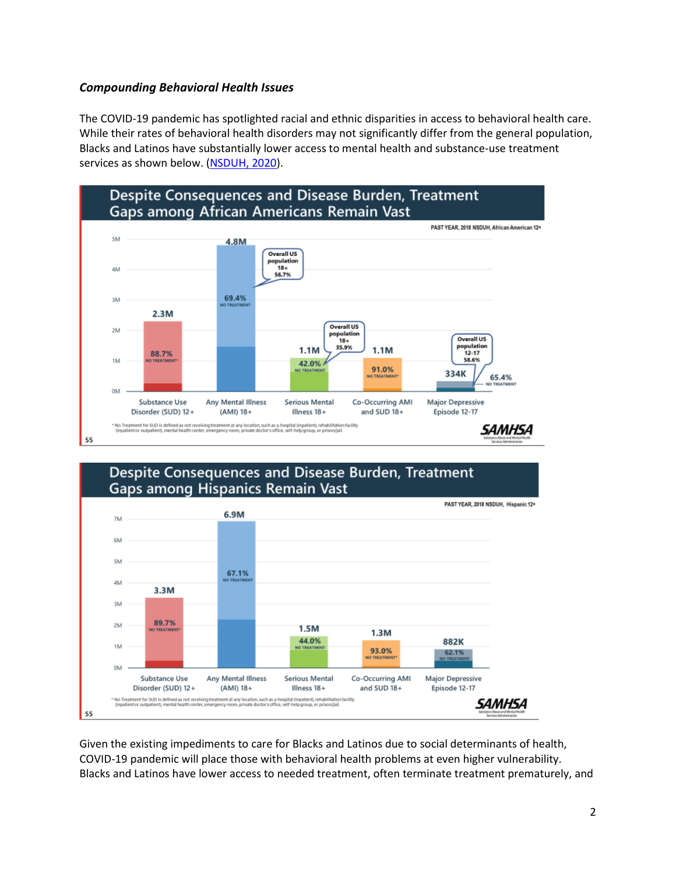# *Compounding Behavioral Health Issues*

The COVID-19 pandemic has spotlighted racial and ethnic disparities in access to behavioral health care. While their rates of behavioral health disorders may not significantly differ from the general population, Blacks and Latinos have substantially lower access to mental health and substance-use treatment services as shown below. [\(NSDUH, 2020\)](https://www.samhsa.gov/data/data-we-collect/nsduh-national-survey-drug-use-and-health).



#### Despite Consequences and Disease Burden, Treatment Gaps among Hispanics Remain Vast PAST YEAR, 2018 NSDUH, Hispanic 12+ 6.9M 7M 6N 5M 67.1% 4M 3.3M 3M 89.7%  $2M$  $1.5M$  $1.3M$ 44.0% 882K 1M 93.0% 62.1% OM Any Mental Illness **Substance Use Serious Mental** Co-Occurring AMI Major Depressive and SUD 18+ Disorder (SUD) 12+ (AMI) 18+ Episode 12-17 Illness 18+ \* No Treatment for SUO is defined as not receiving treatment at any location, such as a hospital (inpatient), rehabilitatic<br>(inpatient or outpatient), mental health center, emergency room, private doctor's office, self-hel facility SAMHSA 55

Given the existing impediments to care for Blacks and Latinos due to social determinants of health, COVID-19 pandemic will place those with behavioral health problems at even higher vulnerability. Blacks and Latinos have lower access to needed treatment, often terminate treatment prematurely, and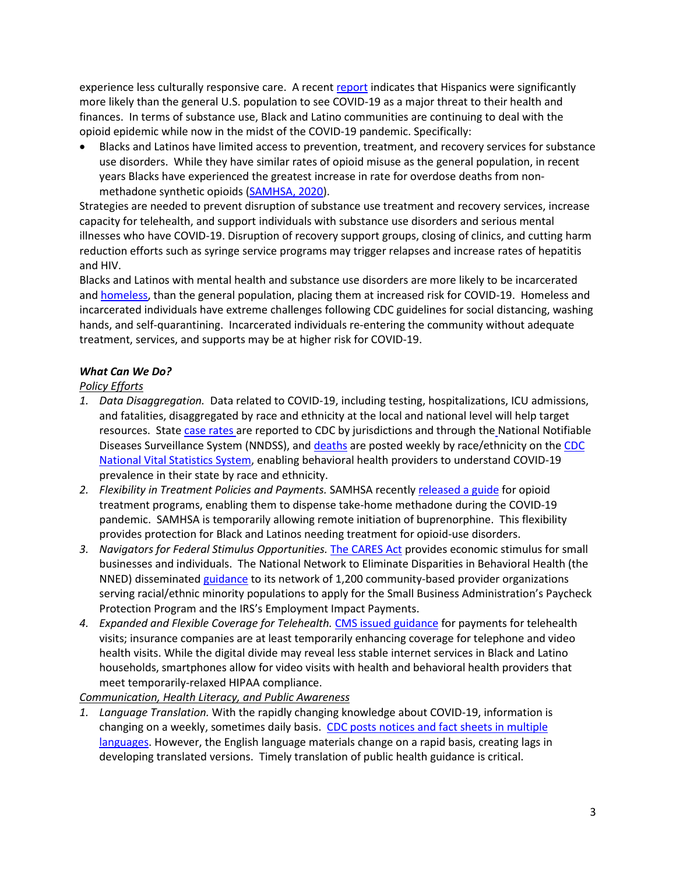experience less culturally responsive care. A recent [report](https://www.pewresearch.org/fact-tank/2020/03/24/hispanics-more-likely-than-americans-overall-to-see-coronavirus-as-a-major-threat-to-health-and-finances/) indicates that Hispanics were significantly more likely than the general U.S. population to see COVID-19 as a major threat to their health and finances. In terms of substance use, Black and Latino communities are continuing to deal with the opioid epidemic while now in the midst of the COVID-19 pandemic. Specifically:

• Blacks and Latinos have limited access to prevention, treatment, and recovery services for substance use disorders. While they have similar rates of opioid misuse as the general population, in recent years Blacks have experienced the greatest increase in rate for overdose deaths from nonmethadone synthetic opioids [\(SAMHSA, 2020\)](https://store.samhsa.gov/product/The-Opioid-Crisis-and-the-Black-African-American-Population-An-Urgent-Issue/PEP20-05-02-001?referer=from_search_result).

Strategies are needed to prevent disruption of substance use treatment and recovery services, increase capacity for telehealth, and support individuals with substance use disorders and serious mental illnesses who have COVID-19. Disruption of recovery support groups, closing of clinics, and cutting harm reduction efforts such as syringe service programs may trigger relapses and increase rates of hepatitis and HIV.

Blacks and Latinos with mental health and substance use disorders are more likely to be incarcerated and [homeless,](https://mentalillnesspolicy.org/consequences/homeless-mentally-ill.html) than the general population, placing them at increased risk for COVID-19. Homeless and incarcerated individuals have extreme challenges following CDC guidelines for social distancing, washing hands, and self-quarantining. Incarcerated individuals re-entering the community without adequate treatment, services, and supports may be at higher risk for COVID-19.

## *What Can We Do?*

## *Policy Efforts*

- *1. Data Disaggregation.* Data related to COVID-19, including testing, hospitalizations, ICU admissions, and fatalities, disaggregated by race and ethnicity at the local and national level will help target resources. State [case rates](https://www.cdc.gov/coronavirus/2019-ncov/cases-updates/cases-in-us.html) are reported to CDC by jurisdictions and through the National Notifiable Diseases Surveillance System (NNDSS), and [deaths](https://www.cdc.gov/nchs/nvss/vsrr/covid_weekly/) are posted weekly by race/ethnicity on the CDC [National Vital Statistics System, enabling behavioral health providers to understand COVID-19](https://www.cdc.gov/nchs/nvss/index.htm)  prevalence in their state by race and ethnicity.
- *2. Flexibility in Treatment Policies and Payments.* SAMHSA recently [released a guide](https://www.samhsa.gov/medication-assisted-treatment/statutes-regulations-guidelines/covid-19-guidance-otp) for opioid treatment programs, enabling them to dispense take-home methadone during the COVID-19 pandemic. SAMHSA is temporarily allowing remote initiation of buprenorphine. This flexibility provides protection for Black and Latinos needing treatment for opioid-use disorders.
- *3. Navigators for Federal Stimulus Opportunities.* [The CARES Act](https://home.treasury.gov/policy-issues/cares) provides economic stimulus for small businesses and individuals. The National Network to Eliminate Disparities in Behavioral Health (the NNED) disseminated [guidance](https://nned.net/6821/) to its network of 1,200 community-based provider organizations serving racial/ethnic minority populations to apply for the Small Business Administration's Paycheck Protection Program and the IRS's Employment Impact Payments.
- *4. Expanded and Flexible Coverage for Telehealth.* [CMS issued guidance](https://www.cms.gov/newsroom/fact-sheets/medicare-telemedicine-health-care-provider-fact-sheet) for payments for telehealth visits; insurance companies are at least temporarily enhancing coverage for telephone and video health visits. While the digital divide may reveal less stable internet services in Black and Latino households, smartphones allow for video visits with health and behavioral health providers that meet temporarily-relaxed HIPAA compliance.

### *Communication, Health Literacy, and Public Awareness*

*1. Language Translation.* With the rapidly changing knowledge about COVID-19, information is changing on a weekly, sometimes daily basis. [CDC posts notices and fact sheets](https://www.cdc.gov/coronavirus/2019-ncov/communication/print-resources.html?Sort=Date%3A%3Adesc) in multiple [languages.](https://www.cdc.gov/coronavirus/2019-ncov/communication/print-resources.html?Sort=Date%3A%3Adesc) However, the English language materials change on a rapid basis, creating lags in developing translated versions. Timely translation of public health guidance is critical.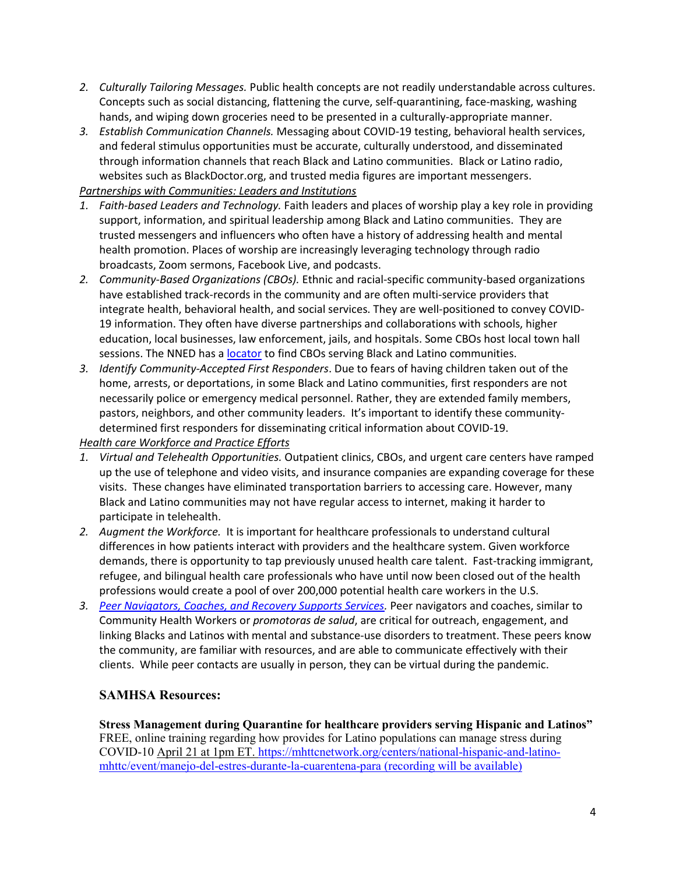- *2. Culturally Tailoring Messages.* Public health concepts are not readily understandable across cultures. Concepts such as social distancing, flattening the curve, self-quarantining, face-masking, washing hands, and wiping down groceries need to be presented in a culturally-appropriate manner.
- *3. Establish Communication Channels.* Messaging about COVID-19 testing, behavioral health services, and federal stimulus opportunities must be accurate, culturally understood, and disseminated through information channels that reach Black and Latino communities. Black or Latino radio, websites such as BlackDoctor.org, and trusted media figures are important messengers.

*Partnerships with Communities: Leaders and Institutions* 

- *1. Faith-based Leaders and Technology.* Faith leaders and places of worship play a key role in providing support, information, and spiritual leadership among Black and Latino communities. They are trusted messengers and influencers who often have a history of addressing health and mental health promotion. Places of worship are increasingly leveraging technology through radio broadcasts, Zoom sermons, Facebook Live, and podcasts.
- *2. Community-Based Organizations (CBOs).* Ethnic and racial-specific community-based organizations have established track-records in the community and are often multi-service providers that integrate health, behavioral health, and social services. They are well-positioned to convey COVID-19 information. They often have diverse partnerships and collaborations with schools, higher education, local businesses, law enforcement, jails, and hospitals. Some CBOs host local town hall sessions. The NNED has [a locator](https://nned.net/connect/about-partner-central/) to find CBOs serving Black and Latino communities.
- *3. Identify Community-Accepted First Responders*. Due to fears of having children taken out of the home, arrests, or deportations, in some Black and Latino communities, first responders are not necessarily police or emergency medical personnel. Rather, they are extended family members, pastors, neighbors, and other community leaders. It's important to identify these communitydetermined first responders for disseminating critical information about COVID-19.

*Health care Workforce and Practice Efforts*

- *1. Virtual and Telehealth Opportunities.* Outpatient clinics, CBOs, and urgent care centers have ramped up the use of telephone and video visits, and insurance companies are expanding coverage for these visits. These changes have eliminated transportation barriers to accessing care. However, many Black and Latino communities may not have regular access to internet, making it harder to participate in telehealth.
- *2. Augment the Workforce.* It is important for healthcare professionals to understand cultural differences in how patients interact with providers and the healthcare system. Given workforce demands, there is opportunity to tap previously unused health care talent. Fast-tracking immigrant, refugee, and bilingual health care professionals who have until now been closed out of the health professions would create a pool of over 200,000 potential health care workers in the U.S.
- *3. [Peer Navigators, Coaches, and Recovery Supports Services.](https://www.samhsa.gov/grants/grant-announcements/sp-20-001)* Peer navigators and coaches, similar to Community Health Workers or *promotoras de salud*, are critical for outreach, engagement, and linking Blacks and Latinos with mental and substance-use disorders to treatment. These peers know the community, are familiar with resources, and are able to communicate effectively with their clients. While peer contacts are usually in person, they can be virtual during the pandemic.

# **SAMHSA Resources:**

**Stress Management during Quarantine for healthcare providers serving Hispanic and Latinos"** FREE, online training regarding how provides for Latino populations can manage stress during [COVID-10 April 21 at 1pm ET. https://mhttcnetwork.org/centers/national-hispanic-and-latino](https://mhttcnetwork.org/centers/national-hispanic-and-latino-mhttc/event/manejo-del-estres-durante-la-cuarentena-para)mhttc/event/manejo-del-estres-durante-la-cuarentena-para (recording will be available)